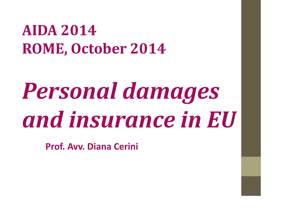#### **AIDA 2014 ROME, October 2014**

# *Personal damages and insurance in EU*

**Prof. Avv. Diana Cerini**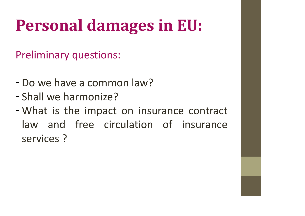## **Personal damages in EU:**

Preliminary questions:

- Do we have a common law?
- Shall we harmonize?
- What is the impact on insurance contract law and free circulation of insurance services ?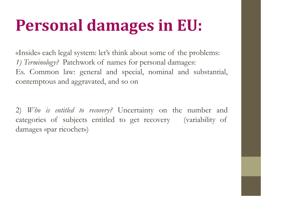### **Personal damages in EU:**

**Personal damages in EU:**<br>
«Inside» each legal system: let's think about some of the problems:<br> *1) Terminology?* Patchwork of names for personal damages: **Personal damages in EU:**<br>
«Inside» each legal system: let's think about some of the proble<br> *1) Terminology?* Patchwork of names for personal damages:<br>
Es. Common law: general and special, nominal and subst Es. Common law: general and special, nominal and substantial, contemptous and aggravated, and so on

2) *Who is entitled to recovery?* Uncertainty on the number and Es. Common law: general and special, nominal and substantial,<br>contemptous and aggravated, and so on<br>2) *Who is entitled to recovery*? Uncertainty on the number and<br>categories of subjects entitled to get recovery (variabili damages «par ricochet»)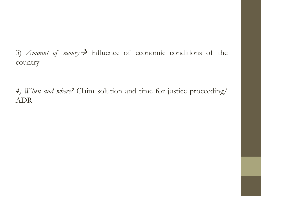3) *Amount of money*  $\rightarrow$  influence of economic conditions of the country

*4) When and where?* Claim solution and time for justice proceeding/ ADR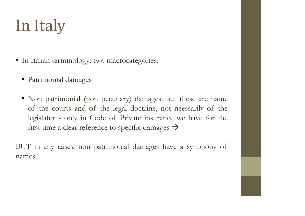## In Italy

- In Italian terminology: two macrocategories:
	- Patrimonial damages
	- Non patrimonial (non pecunary) damages: but these are name Tranan terminology: two macrocategories:<br>
	Patrimonial damages<br>
	Non patrimonial (non pecunary) damages: but these are name<br>
	of the courts and of the legal doctrine, not neessarily of the<br>
	legislator - only in Code of Privat of the courts and of the legal doctrine, not neessarily of the legislator - only in Code of Private insurance we have for the first time a clear reference to specific damages  $\rightarrow$

BUT in any cases, non patrimonial damages have a synphony of names….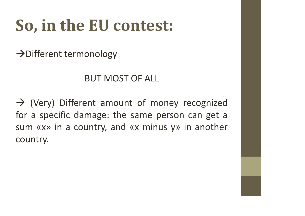## **So, in the EU contest:**

 $\rightarrow$  Different termonology

#### BUT MOST OF ALL

 $\rightarrow$  (Very) Different amount of money recognized for a specific damage: the same person can get a sum «x» in a country, and «x minus y» in another country.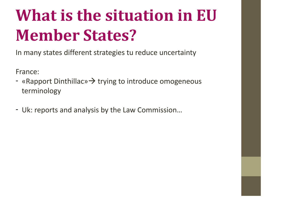## **What is the situation in EU Member States?**

In many states different strategies tu reduce uncertainty

France:

- «Rapport Dinthillac»  $\rightarrow$  trying to introduce omogeneous terminology
- Uk: reports and analysis by the Law Commission…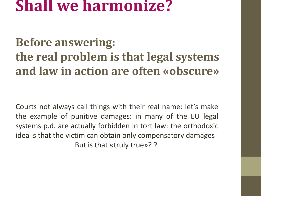#### **Shall we harmonize?**

#### **Before answering: the real problem is that legal systems and law in action are often «obscure»**

Courts not always call things with their real name: let's make the example of punitive damages: in many of the EU legal systems p.d. are actually forbidden in tort law: the orthodoxic idea is that the victim can obtain only compensatory damages But is that «truly true»? ?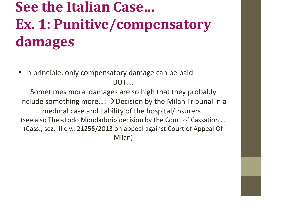#### **See the Italian Case… Ex. 1: Punitive/compensatory damages**

• In principle: only compensatory damage can be paid BUT….

Sometimes moral damages are so high that they probably include something more...:  $\rightarrow$  Decision by the Milan Tribunal in a medmal case and liability of the hospital/insurers (see also The «Lodo Mondadori» decision by the Court of Cassation…. (Cass., sez. III civ., 21255/2013 on appeal against Court of Appeal Of Milan)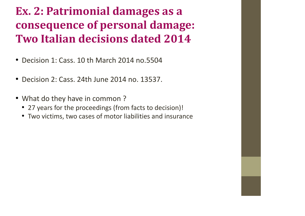#### **Ex. 2: Patrimonial damages as a consequence of personal damage: Two Italian decisions dated 2014**

- Decision 1: Cass. 10 th March 2014 no.5504
- Decision 2: Cass. 24th June 2014 no. 13537.
- What do they have in common ?
	- 27 years for the proceedings (from facts to decision)!
	- Two victims, two cases of motor liabilities and insurance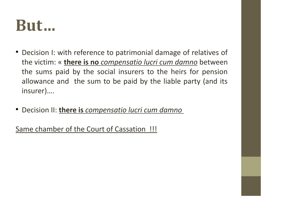#### **But…**

- Decision I: with reference to patrimonial damage of relatives of the victim: « **there is no** *compensatio lucri cum damno* between the sums paid by the social insurers to the heirs for pension allowance and the sum to be paid by the liable party (and its insurer)….
- Decision II: **there is** *compensatio lucri cum damno*

Same chamber of the Court of Cassation !!!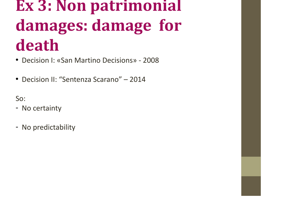### **Ex 3: Non patrimonial damages: damage for death**

- Decision I: «San Martino Decisions» 2008
- Decision II: "Sentenza Scarano" 2014

So:

- No certainty
- No predictability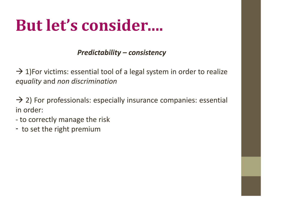#### **But let's consider….**

#### *Predictability – consistency*

 $\rightarrow$  1)For victims: essential tool of a legal system in order to realize *equality* and *non discrimination*

 $\rightarrow$  2) For professionals: especially insurance companies: essential in order:

- to correctly manage the risk
- to set the right premium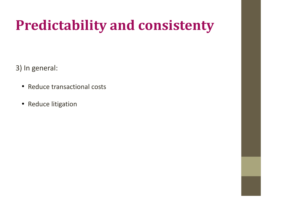#### **Predictability and consistenty**

3) In general:

- Reduce transactional costs
- Reduce litigation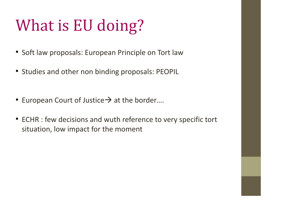## What is EU doing?

- Soft law proposals: European Principle on Tort law
- Studies and other non binding proposals: PEOPIL
- European Court of Justice  $\rightarrow$  at the border....
- ECHR : few decisions and wuth reference to very specific tort situation, low impact for the moment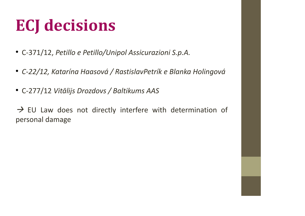### **ECJ decisions**

- C-371/12, *Petillo e Petillo/Unipol Assicurazioni S.p.A.*
- *C-22/12, Katarína Haasová / RastislavPetrík e Blanka Holingová*
- C-277/12 *Vitālijs Drozdovs / Baltikums AAS*

 $\rightarrow$  EU Law does not directly interfere with determination of personal damage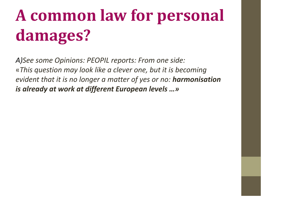## **A common law for personal damages?**

*A)See some Opinions: PEOPIL reports: From one side:* «*This question may look like a clever one, but it is becoming evident that it is no longer a matter of yes or no: harmonisation is already at work at different European levels …»*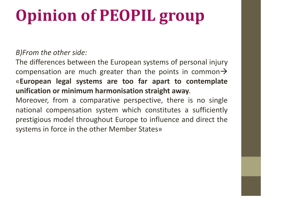## **Opinion of PEOPIL group**

#### *B)From the other side:*

The differences between the European systems of personal injury compensation are much greater than the points in common  $\rightarrow$ «**European legal systems are too far apart to contemplate unification or minimum harmonisation straight away**.

Moreover, from a comparative perspective, there is no single national compensation system which constitutes a sufficiently prestigious model throughout Europe to influence and direct the systems in force in the other Member States»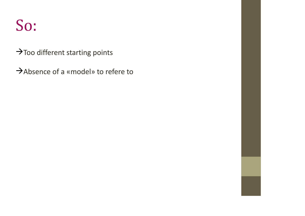#### So:

 $\rightarrow$  Too different starting points

Absence of a «model» to refere to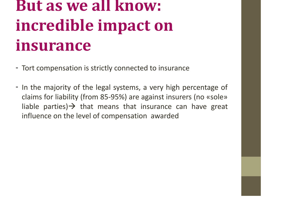## **But as we all know: incredible impact on insurance**

- Tort compensation is strictly connected to insurance
- In the majority of the legal systems, a very high percentage of claims for liability (from 85-95%) are against insurers (no «sole» liable parties)  $\rightarrow$  that means that insurance can have great influence on the level of compensation awarded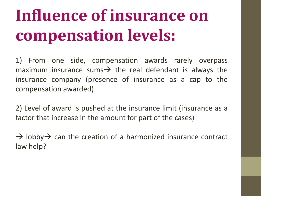## **Influence of insurance on compensation levels:**

1) From one side, compensation awards rarely overpass maximum insurance sums  $\rightarrow$  the real defendant is always the insurance company (presence of insurance as a cap to the compensation awarded)

2) Level of award is pushed at the insurance limit (insurance as a factor that increase in the amount for part of the cases)

 $\rightarrow$  lobby  $\rightarrow$  can the creation of a harmonized insurance contract law help?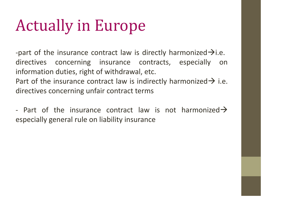#### Actually in Europe

-part of the insurance contract law is directly harmonized  $\rightarrow$  i.e. directives concerning insurance contracts, especially on information duties, right of withdrawal, etc. Part of the insurance contract law is indirectly harmonized  $\rightarrow$  i.e. directives concerning unfair contract terms

- Part of the insurance contract law is not harmonized  $\rightarrow$ especially general rule on liability insurance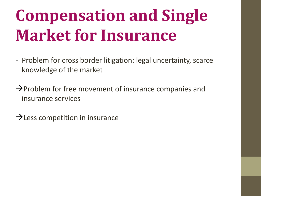## **Compensation and Single Market for Insurance**

- Problem for cross border litigation: legal uncertainty, scarce knowledge of the market
- $\rightarrow$  Problem for free movement of insurance companies and insurance services

 $\rightarrow$  Less competition in insurance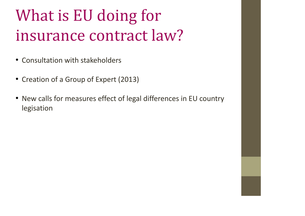## What is EU doing for insurance contract law?

- Consultation with stakeholders
- Creation of a Group of Expert (2013)
- New calls for measures effect of legal differences in EU country legisation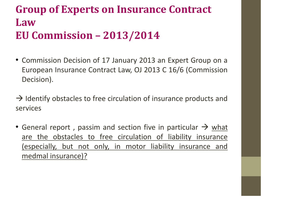#### **Group of Experts on Insurance Contract Law EU Commission – 2013/2014**

• Commission Decision of 17 January 2013 an Expert Group on a European Insurance Contract Law, OJ 2013 C 16/6 (Commission Decision).

 $\rightarrow$  Identify obstacles to free circulation of insurance products and services

General report, passim and section five in particular  $\rightarrow$  what are the obstacles to free circulation of liability insurance (especially, but not only, in motor liability insurance and medmal insurance)?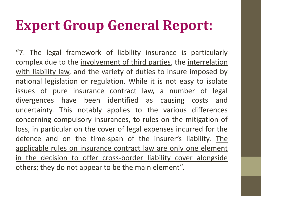#### **Expert Group General Report:**

"7. The legal framework of liability insurance is particularly complex due to the involvement of third parties, the interrelation with liability law, and the variety of duties to insure imposed by national legislation or regulation. While it is not easy to isolate issues of pure insurance contract law, a number of legal divergences have been identified as causing costs and uncertainty. This notably applies to the various differences concerning compulsory insurances, to rules on the mitigation of loss, in particular on the cover of legal expenses incurred for the defence and on the time-span of the insurer's liability. The applicable rules on insurance contract law are only one element in the decision to offer cross-border liability cover alongside others; they do not appear to be the main element".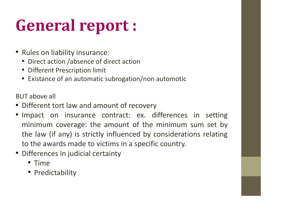## **General report :**

- Rules on liability insurance:
	- Direct action /absence of direct action
	- Different Prescription limit
	- Existance of an automatic subrogation/non automotic

BUT above all

- Different tort law and amount of recovery
- Impact on insurance contract: ex. differences in setting minimum coverage: the amount of the minimum sum set by the law (if any) is strictly influenced by considerations relating to the awards made to victims in a specific country.
- Differences in judicial certainty
	- Time
	- Predictability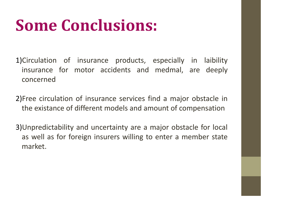#### **Some Conclusions:**

- 1)Circulation of insurance products, especially in laibility insurance for motor accidents and medmal, are deeply concerned
- 2)Free circulation of insurance services find a major obstacle in the existance of different models and amount of compensation
- 3)Unpredictability and uncertainty are a major obstacle for local as well as for foreign insurers willing to enter a member state market.